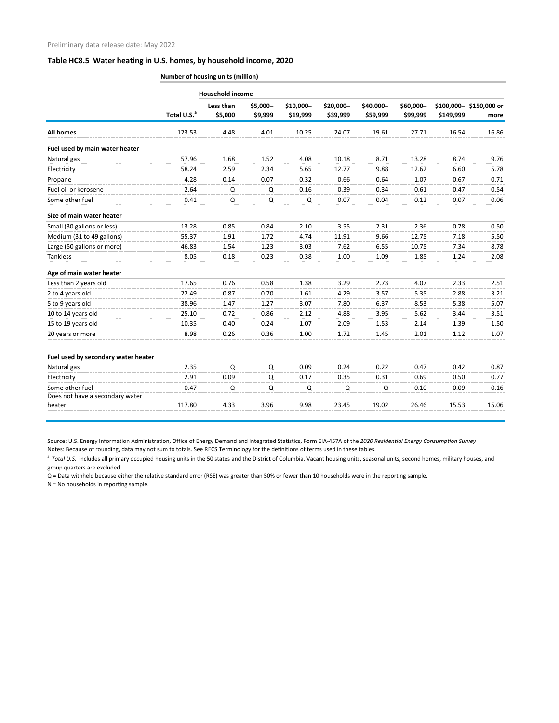## **Table HC8.5 Water heating in U.S. homes, by household income, 2020**

|                                     | Number of housing units (million) |                      |                     |                       |                       |                       |                       |           |                                |  |  |
|-------------------------------------|-----------------------------------|----------------------|---------------------|-----------------------|-----------------------|-----------------------|-----------------------|-----------|--------------------------------|--|--|
|                                     | <b>Household income</b>           |                      |                     |                       |                       |                       |                       |           |                                |  |  |
|                                     | Total U.S. <sup>a</sup>           | Less than<br>\$5,000 | \$5,000-<br>\$9,999 | \$10,000-<br>\$19,999 | \$20,000-<br>\$39,999 | \$40,000-<br>\$59,999 | \$60,000-<br>\$99,999 | \$149,999 | \$100,000-\$150,000 or<br>more |  |  |
| <b>All homes</b>                    | 123.53                            | 4.48                 | 4.01                | 10.25                 | 24.07                 | 19.61                 | 27.71                 | 16.54     | 16.86                          |  |  |
| Fuel used by main water heater      |                                   |                      |                     |                       |                       |                       |                       |           |                                |  |  |
| Natural gas                         | 57.96                             | 1.68                 | 1.52                | 4.08                  | 10.18                 | 8.71                  | 13.28                 | 8.74      | 9.76                           |  |  |
| Electricity                         | 58.24                             | 2.59                 | 2.34                | 5.65                  | 12.77                 | 9.88                  | 12.62                 | 6.60      | 5.78                           |  |  |
| Propane                             | 4.28                              | 0.14                 | 0.07                | 0.32                  | 0.66                  | 0.64                  | 1.07                  | 0.67      | 0.71                           |  |  |
| Fuel oil or kerosene                | 2.64                              | Q                    | Q                   | 0.16                  | 0.39                  | 0.34                  | 0.61                  | 0.47      | 0.54                           |  |  |
| Some other fuel                     | 0.41                              | Q                    | Q                   | Q                     | 0.07                  | 0.04                  | 0.12                  | 0.07      | 0.06                           |  |  |
| Size of main water heater           |                                   |                      |                     |                       |                       |                       |                       |           |                                |  |  |
| Small (30 gallons or less)          | 13.28                             | 0.85                 | 0.84                | 2.10                  | 3.55                  | 2.31                  | 2.36                  | 0.78      | 0.50                           |  |  |
| Medium (31 to 49 gallons)           | 55.37                             | 1.91                 | 1.72                | 4.74                  | 11.91                 | 9.66                  | 12.75                 | 7.18      | 5.50                           |  |  |
| Large (50 gallons or more)          | 46.83                             | 1.54                 | 1.23                | 3.03                  | 7.62                  | 6.55                  | 10.75                 | 7.34      | 8.78                           |  |  |
| Tankless                            | 8.05                              | 0.18                 | 0.23                | 0.38                  | 1.00                  | 1.09                  | 1.85                  | 1.24      | 2.08                           |  |  |
| Age of main water heater            |                                   |                      |                     |                       |                       |                       |                       |           |                                |  |  |
| Less than 2 years old               | 17.65                             | 0.76                 | 0.58                | 1.38                  | 3.29                  | 2.73                  | 4.07                  | 2.33      | 2.51                           |  |  |
| 2 to 4 years old                    | 22.49                             | 0.87                 | 0.70                | 1.61                  | 4.29                  | 3.57                  | 5.35                  | 2.88      | 3.21                           |  |  |
| 5 to 9 years old                    | 38.96                             | 1.47                 | 1.27                | 3.07                  | 7.80                  | 6.37                  | 8.53                  | 5.38      | 5.07                           |  |  |
| 10 to 14 years old                  | 25.10                             | 0.72                 | 0.86                | 2.12                  | 4.88                  | 3.95                  | 5.62                  | 3.44      | 3.51                           |  |  |
| 15 to 19 years old                  | 10.35                             | 0.40                 | 0.24                | 1.07                  | 2.09                  | 1.53                  | 2.14                  | 1.39      | 1.50                           |  |  |
| 20 years or more                    | 8.98                              | 0.26                 | 0.36                | 1.00                  | 1.72                  | 1.45                  | 2.01                  | 1.12      | 1.07                           |  |  |
| Fuel used by secondary water heater |                                   |                      |                     |                       |                       |                       |                       |           |                                |  |  |
| Natural gas                         | 2.35                              | $\Omega$             | Q                   | 0.09                  | 0.24                  | 0.22                  | 0.47                  | 0.42      | 0.87                           |  |  |
| Electricity                         | 2.91                              | 0.09                 | Q                   | 0.17                  | 0.35                  | 0.31                  | 0.69                  | 0.50      | 0.77                           |  |  |
| Some other fuel                     | 0.47                              | Q                    | Q                   | Q                     | Q                     | Q                     | 0.10                  | 0.09      | $0.16\,$                       |  |  |
| Does not have a secondary water     |                                   |                      | 3.96                | 9.98                  |                       |                       | 26.46                 |           | 15.06                          |  |  |
| heater                              | 117.80                            | 4.33                 |                     |                       | 23.45                 | 19.02                 |                       | 15.53     |                                |  |  |

Source: U.S. Energy Information Administration, Office of Energy Demand and Integrated Statistics, Form EIA-457A of the *2020 Residential Energy Consumption Survey* Notes: Because of rounding, data may not sum to totals. See RECS Terminology for the definitions of terms used in these tables.

<sup>a</sup> Total U.S. includes all primary occupied housing units in the 50 states and the District of Columbia. Vacant housing units, seasonal units, second homes, military houses, and group quarters are excluded.

Q = Data withheld because either the relative standard error (RSE) was greater than 50% or fewer than 10 households were in the reporting sample. N = No households in reporting sample.